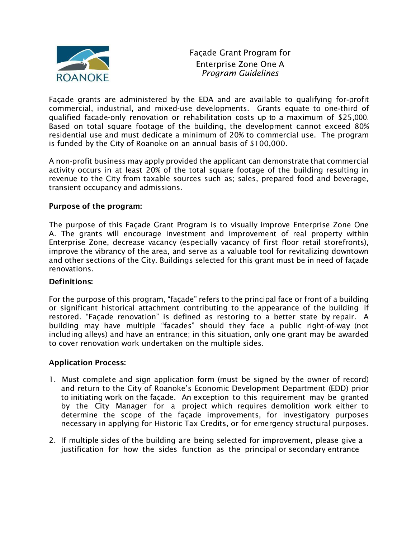

Façade Grant Program for Enterprise Zone One A Program Guidelines

Façade grants are administered by the EDA and are available to qualifying for-profit commercial, industrial, and mixed-use developments. Grants equate to one-third of qualified facade-only renovation or rehabilitation costs up to a maximum of \$25,000. Based on total square footage of the building, the development cannot exceed 80% residential use and must dedicate a minimum of 20% to commercial use. The program is funded by the City of Roanoke on an annual basis of \$100,000.

A non-profit business may apply provided the applicant can demonstrate that commercial activity occurs in at least 20% of the total square footage of the building resulting in revenue to the City from taxable sources such as; sales, prepared food and beverage, transient occupancy and admissions.

#### Purpose of the program:

The purpose of this Façade Grant Program is to visually improve Enterprise Zone One A. The grants will encourage investment and improvement of real property within Enterprise Zone, decrease vacancy (especially vacancy of first floor retail storefronts), improve the vibrancy of the area, and serve as a valuable tool for revitalizing downtown and other sections of the City. Buildings selected for this grant must be in need of façade renovations.

#### Definitions:

For the purpose of this program, "façade" refers to the principal face or front of a building or significant historical attachment contributing to the appearance of the building if restored. "Façade renovation" is defined as restoring to a better state by repair. A building may have multiple "facades" should they face a public right-of-way (not including alleys) and have an entrance; in this situation, only one grant may be awarded to cover renovation work undertaken on the multiple sides.

#### Application Process:

- 1. Must complete and sign application form (must be signed by the owner of record) and return to the City of Roanoke's Economic Development Department (EDD) prior to initiating work on the façade. An exception to this requirement may be granted by the City Manager for a project which requires demolition work either to determine the scope of the façade improvements, for investigatory purposes necessary in applying for Historic Tax Credits, or for emergency structural purposes.
- 2. If multiple sides of the building are being selected for improvement, please give a justification for how the sides function as the principal or secondary entrance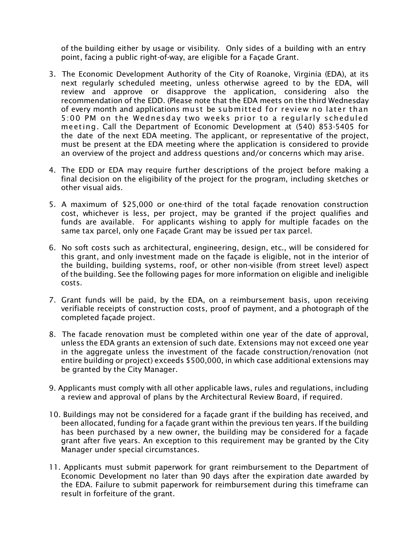of the building either by usage or visibility. Only sides of a building with an entry point, facing a public right-of-way, are eligible for a Façade Grant.

- 3. The Economic Development Authority of the City of Roanoke, Virginia (EDA), at its next regularly scheduled meeting, unless otherwise agreed to by the EDA, will review and approve or disapprove the application, considering also the recommendation of the EDD. (Please note that the EDA meets on the third Wednesday of every month and applications must be submitted for review no later than 5:00 PM on the Wednesday two weeks prior to a regularly scheduled meeting. Call the Department of Economic Development at (540) 853-5405 for the date of the next EDA meeting. The applicant, or representative of the project, must be present at the EDA meeting where the application is considered to provide an overview of the project and address questions and/or concerns which may arise.
- 4. The EDD or EDA may require further descriptions of the project before making a final decision on the eligibility of the project for the program, including sketches or other visual aids.
- 5. A maximum of \$25,000 or one-third of the total façade renovation construction cost, whichever is less, per project, may be granted if the project qualifies and funds are available. For applicants wishing to apply for multiple facades on the same tax parcel, only one Façade Grant may be issued per tax parcel.
- 6. No soft costs such as architectural, engineering, design, etc., will be considered for this grant, and only investment made on the façade is eligible, not in the interior of the building, building systems, roof, or other non-visible (from street level) aspect of the building. See the following pages for more information on eligible and ineligible costs.
- 7. Grant funds will be paid, by the EDA, on a reimbursement basis, upon receiving verifiable receipts of construction costs, proof of payment, and a photograph of the completed façade project.
- 8. The facade renovation must be completed within one year of the date of approval, unless the EDA grants an extension of such date. Extensions may not exceed one year in the aggregate unless the investment of the facade construction/renovation (not entire building or project) exceeds \$500,000, in which case additional extensions may be granted by the City Manager.
- 9. Applicants must comply with all other applicable laws, rules and regulations, including a review and approval of plans by the Architectural Review Board, if required.
- 10. Buildings may not be considered for a façade grant if the building has received, and been allocated, funding for a façade grant within the previous ten years. If the building has been purchased by a new owner, the building may be considered for a façade grant after five years. An exception to this requirement may be granted by the City Manager under special circumstances.
- 11. Applicants must submit paperwork for grant reimbursement to the Department of Economic Development no later than 90 days after the expiration date awarded by the EDA. Failure to submit paperwork for reimbursement during this timeframe can result in forfeiture of the grant.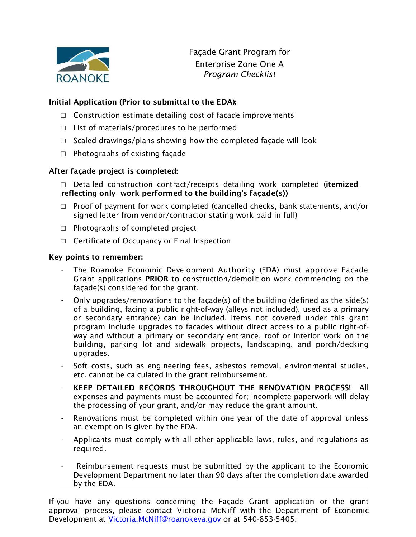

Façade Grant Program for Enterprise Zone One A Program Checklist

# Initial Application (Prior to submittal to the EDA):

- □ Construction estimate detailing cost of façade improvements
- $\Box$  List of materials/procedures to be performed
- □ Scaled drawings/plans showing how the completed façade will look
- $\Box$  Photographs of existing façade

# After façade project is completed:

- □ Detailed construction contract/receipts detailing work completed (*itemized* reflecting only work performed to the building's façade(s))
- □ Proof of payment for work completed (cancelled checks, bank statements, and/or signed letter from vendor/contractor stating work paid in full)
- $\Box$  Photographs of completed project
- □ Certificate of Occupancy or Final Inspection

#### Key points to remember:

- The Roanoke Economic Development Authority (EDA) must approve Facade Grant applications PRIOR to construction/demolition work commencing on the façade(s) considered for the grant.
- Only upgrades/renovations to the façade(s) of the building (defined as the side(s) of a building, facing a public right-of-way (alleys not included), used as a primary or secondary entrance) can be included. Items not covered under this grant program include upgrades to facades without direct access to a public right-ofway and without a primary or secondary entrance, roof or interior work on the building, parking lot and sidewalk projects, landscaping, and porch/decking upgrades.
- Soft costs, such as engineering fees, asbestos removal, environmental studies, etc. cannot be calculated in the grant reimbursement.
- KEEP DETAILED RECORDS THROUGHOUT THE RENOVATION PROCESS! All expenses and payments must be accounted for; incomplete paperwork will delay the processing of your grant, and/or may reduce the grant amount.
- Renovations must be completed within one year of the date of approval unless an exemption is given by the EDA.
- Applicants must comply with all other applicable laws, rules, and regulations as required.
- Reimbursement requests must be submitted by the applicant to the Economic Development Department no later than 90 days after the completion date awarded by the EDA.

If you have any questions concerning the Façade Grant application or the grant approval process, please contact Victoria McNiff with the Department of Economic Development at Victoria.McNiff@roanokeva.gov or at 540-853-5405.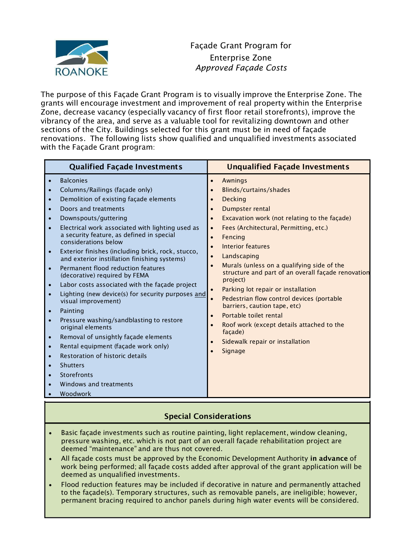

The purpose of this Façade Grant Program is to visually improve the Enterprise Zone. The grants will encourage investment and improvement of real property within the Enterprise Zone, decrease vacancy (especially vacancy of first floor retail storefronts), improve the vibrancy of the area, and serve as a valuable tool for revitalizing downtown and other sections of the City. Buildings selected for this grant must be in need of façade renovations. The following lists show qualified and unqualified investments associated with the Façade Grant program:

| <b>Qualified Façade Investments</b>                                                                                                                                                                                                                                                                                                                                                                                                                                                                                                                                                                                                                                                                                                                                                                                                                                                                                                                                                                                                                                                 | <b>Unqualified Façade Investments</b>                                                                                                                                                                                                                                                                                                                                                                                                                                                                                                                                                                                                                                                                                                                                                                            |
|-------------------------------------------------------------------------------------------------------------------------------------------------------------------------------------------------------------------------------------------------------------------------------------------------------------------------------------------------------------------------------------------------------------------------------------------------------------------------------------------------------------------------------------------------------------------------------------------------------------------------------------------------------------------------------------------------------------------------------------------------------------------------------------------------------------------------------------------------------------------------------------------------------------------------------------------------------------------------------------------------------------------------------------------------------------------------------------|------------------------------------------------------------------------------------------------------------------------------------------------------------------------------------------------------------------------------------------------------------------------------------------------------------------------------------------------------------------------------------------------------------------------------------------------------------------------------------------------------------------------------------------------------------------------------------------------------------------------------------------------------------------------------------------------------------------------------------------------------------------------------------------------------------------|
| <b>Balconies</b><br>$\bullet$<br>Columns/Railings (façade only)<br>$\bullet$<br>Demolition of existing façade elements<br>$\bullet$<br>Doors and treatments<br>$\bullet$<br>Downspouts/guttering<br>$\bullet$<br>Electrical work associated with lighting used as<br>$\bullet$<br>a security feature, as defined in special<br>considerations below<br>Exterior finishes (including brick, rock, stucco,<br>$\bullet$<br>and exterior instillation finishing systems)<br>Permanent flood reduction features<br>$\bullet$<br>(decorative) required by FEMA<br>Labor costs associated with the façade project<br>$\bullet$<br>Lighting (new device(s) for security purposes and<br>$\bullet$<br>visual improvement)<br>Painting<br>$\bullet$<br>Pressure washing/sandblasting to restore<br>$\bullet$<br>original elements<br>Removal of unsightly façade elements<br>$\bullet$<br>Rental equipment (façade work only)<br>$\bullet$<br>Restoration of historic details<br>$\bullet$<br><b>Shutters</b><br>$\bullet$<br>Storefronts<br>$\bullet$<br>Windows and treatments<br>Woodwork | <b>Awnings</b><br>$\bullet$<br>Blinds/curtains/shades<br>$\bullet$<br><b>Decking</b><br>$\bullet$<br>Dumpster rental<br>$\bullet$<br>Excavation work (not relating to the façade)<br>$\bullet$<br>Fees (Architectural, Permitting, etc.)<br>$\bullet$<br>Fencing<br>$\bullet$<br>Interior features<br>$\bullet$<br>Landscaping<br>$\bullet$<br>Murals (unless on a qualifying side of the<br>$\bullet$<br>structure and part of an overall façade renovation<br>project)<br>Parking lot repair or installation<br>$\bullet$<br>$\bullet$<br>Pedestrian flow control devices (portable<br>barriers, caution tape, etc)<br>Portable toilet rental<br>$\bullet$<br>Roof work (except details attached to the<br>$\bullet$<br>façade)<br>Sidewalk repair or installation<br>$\bullet$<br><b>Signage</b><br>$\bullet$ |

# Special Considerations

- Basic façade investments such as routine painting, light replacement, window cleaning, pressure washing, etc. which is not part of an overall façade rehabilitation project are deemed "maintenance" and are thus not covered.
- All façade costs must be approved by the Economic Development Authority in advance of work being performed; all façade costs added after approval of the grant application will be deemed as unqualified investments.
- Flood reduction features may be included if decorative in nature and permanently attached to the façade(s). Temporary structures, such as removable panels, are ineligible; however, permanent bracing required to anchor panels during high water events will be considered.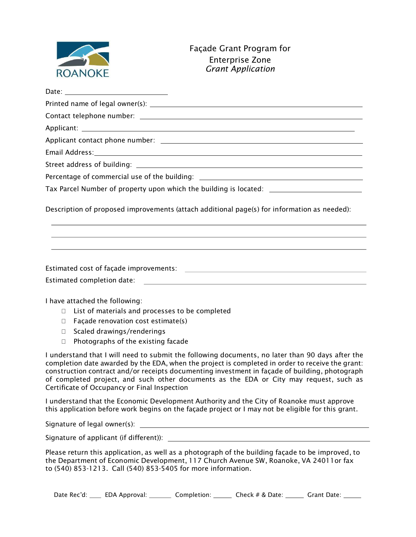

| Email Address: 1988 and 2008 and 2008 and 2008 and 2010 and 2010 and 2010 and 2010 and 2010 and 2010 and 2010                                                                    |
|----------------------------------------------------------------------------------------------------------------------------------------------------------------------------------|
|                                                                                                                                                                                  |
| Percentage of commercial use of the building: __________________________________                                                                                                 |
| Tax Parcel Number of property upon which the building is located: _______________                                                                                                |
| Description of proposed improvements (attach additional page(s) for information as needed):<br>,我们也不能会有什么。""我们的人,我们也不能会有什么?""我们的人,我们也不能会有什么?""我们的人,我们也不能会有什么?""我们的人,我们也不能会有什么?"" |
|                                                                                                                                                                                  |
|                                                                                                                                                                                  |
|                                                                                                                                                                                  |
|                                                                                                                                                                                  |
|                                                                                                                                                                                  |
| والمستحدث والمكاسما والمستطيع والمستقف والمستحدث والمستحدث                                                                                                                       |

I have attached the following:

- $\Box$  List of materials and processes to be completed
- $\Box$  Facade renovation cost estimate(s)
- □ Scaled drawings/renderings
- $\Box$  Photographs of the existing facade

I understand that I will need to submit the following documents, no later than 90 days after the completion date awarded by the EDA, when the project is completed in order to receive the grant: construction contract and/or receipts documenting investment in façade of building, photograph of completed project, and such other documents as the EDA or City may request, such as Certificate of Occupancy or Final Inspection

I understand that the Economic Development Authority and the City of Roanoke must approve this application before work begins on the façade project or I may not be eligible for this grant.

Signature of legal owner(s):

Signature of applicant (if different)):

Please return this application, as well as a photograph of the building façade to be improved, to the Department of Economic Development, 117 Church Avenue SW, Roanoke, VA 24011or fax to (540) 853-1213. Call (540) 853-5405 for more information.

Date Rec'd: \_\_\_\_\_ EDA Approval: \_\_\_\_\_\_\_\_ Completion: \_\_\_\_\_\_\_ Check # & Date: \_\_\_\_\_\_\_ Grant Date: \_\_\_\_\_\_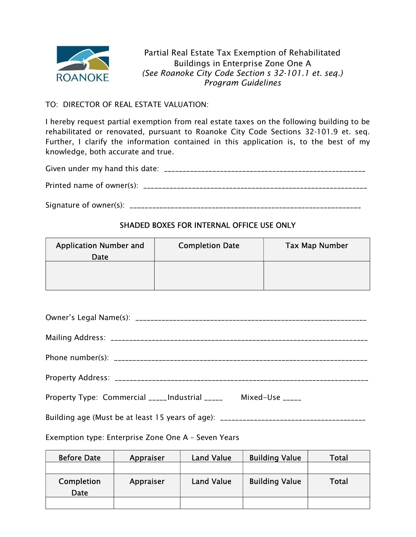

Partial Real Estate Tax Exemption of Rehabilitated Buildings in Enterprise Zone One A (See Roanoke City Code Section s 32-101.1 et. seq.) Program Guidelines

# TO: DIRECTOR OF REAL ESTATE VALUATION:

I hereby request partial exemption from real estate taxes on the following building to be rehabilitated or renovated, pursuant to Roanoke City Code Sections 32-101.9 et. seq. Further, I clarify the information contained in this application is, to the best of my knowledge, both accurate and true.

Signature of owner(s): \_\_\_\_\_\_\_\_\_\_\_\_\_\_\_\_\_\_\_\_\_\_\_\_\_\_\_\_\_\_\_\_\_\_\_\_\_\_\_\_\_\_\_\_\_\_\_\_\_\_\_\_\_\_\_\_\_\_\_\_\_\_

# SHADED BOXES FOR INTERNAL OFFICE USE ONLY

| <b>Application Number and</b><br>Date | <b>Completion Date</b> | <b>Tax Map Number</b> |
|---------------------------------------|------------------------|-----------------------|
|                                       |                        |                       |

| Property Type: Commercial _____Industrial _____ Mixed-Use _____                   |  |
|-----------------------------------------------------------------------------------|--|
| Building age (Must be at least 15 years of age): ________________________________ |  |

Exemption type: Enterprise Zone One A – Seven Years

| <b>Before Date</b> | Appraiser | <b>Land Value</b> | <b>Building Value</b> | Total |
|--------------------|-----------|-------------------|-----------------------|-------|
|                    |           |                   |                       |       |
| Completion<br>Date | Appraiser | <b>Land Value</b> | <b>Building Value</b> | Total |
|                    |           |                   |                       |       |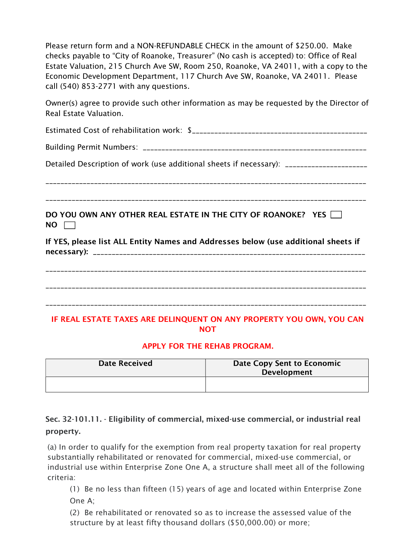Please return form and a NON-REFUNDABLE CHECK in the amount of \$250.00. Make checks payable to "City of Roanoke, Treasurer" (No cash is accepted) to: Office of Real Estate Valuation, 215 Church Ave SW, Room 250, Roanoke, VA 24011, with a copy to the Economic Development Department, 117 Church Ave SW, Roanoke, VA 24011. Please call (540) 853-2771 with any questions.

Owner(s) agree to provide such other information as may be requested by the Director of Real Estate Valuation.

| Detailed Description of work (use additional sheets if necessary): ____________________ |
|-----------------------------------------------------------------------------------------|
|                                                                                         |
|                                                                                         |
| DO YOU OWN ANY OTHER REAL ESTATE IN THE CITY OF ROANOKE? YES $\Box$<br>NO.              |
| If YES, please list ALL Entity Names and Addresses below (use additional sheets if      |
|                                                                                         |
|                                                                                         |
|                                                                                         |
| IF REAL ESTATE TAXES ARE DELINQUENT ON ANY PROPERTY YOU OWN, YOU CAN<br><b>NOT</b>      |

# APPLY FOR THE REHAB PROGRAM.

| <b>Date Received</b> | Date Copy Sent to Economic<br><b>Development</b> |
|----------------------|--------------------------------------------------|
|                      |                                                  |

Sec. 32-101.11. - Eligibility of commercial, mixed-use commercial, or industrial real property.

(a) In order to qualify for the exemption from real property taxation for real property substantially rehabilitated or renovated for commercial, mixed-use commercial, or industrial use within Enterprise Zone One A, a structure shall meet all of the following criteria:

(1) Be no less than fifteen (15) years of age and located within Enterprise Zone One A;

(2) Be rehabilitated or renovated so as to increase the assessed value of the structure by at least fifty thousand dollars (\$50,000.00) or more;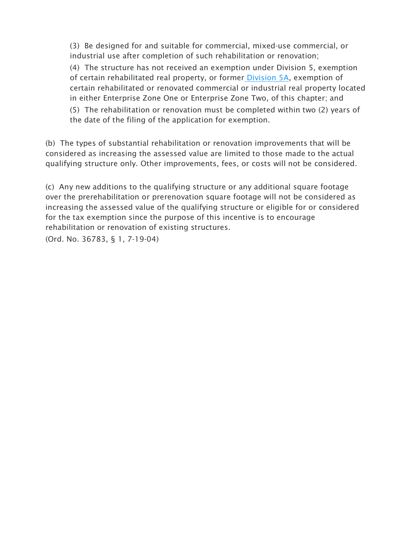(3) Be designed for and suitable for commercial, mixed-use commercial, or industrial use after completion of such rehabilitation or renovation;

(4) The structure has not received an exemption under Division 5, exemption of certain rehabilitated real property, or former Division 5A, exemption of certain rehabilitated or renovated commercial or industrial real property located in either Enterprise Zone One or Enterprise Zone Two, of this chapter; and

(5) The rehabilitation or renovation must be completed within two (2) years of the date of the filing of the application for exemption.

(b) The types of substantial rehabilitation or renovation improvements that will be considered as increasing the assessed value are limited to those made to the actual qualifying structure only. Other improvements, fees, or costs will not be considered.

(c) Any new additions to the qualifying structure or any additional square footage over the prerehabilitation or prerenovation square footage will not be considered as increasing the assessed value of the qualifying structure or eligible for or considered for the tax exemption since the purpose of this incentive is to encourage rehabilitation or renovation of existing structures.

(Ord. No. 36783, § 1, 7-19-04)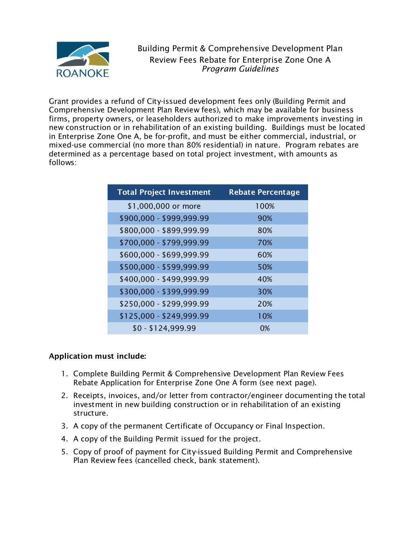

Building Permit & Comprehensive Development Plan Review Fees Rebate for Enterprise Zone One A Program Guidelines

Grant provides a refund of City-issued development fees only (Building Permit and Comprehensive Development Plan Review fees), which may be available for business firms, property owners, or leaseholders authorized to make improvements investing in new construction or in rehabilitation of an existing building. Buildings must be located in Enterprise Zone One A, be for-profit, and must be either commercial, industrial, or mixed-use commercial (no more than 80% residential) in nature. Program rebates are determined as a percentage based on total project investment, with amounts as follows:

| <b>Total Project Investment</b> | <b>Rebate Percentage</b> |
|---------------------------------|--------------------------|
| \$1,000,000 or more             | 100%                     |
| \$900,000 - \$999,999.99        | 90%                      |
| \$800,000 - \$899,999.99        | 80%                      |
| \$700,000 - \$799,999.99        | 70%                      |
| \$600,000 - \$699,999.99        | 60%                      |
| \$500,000 - \$599,999.99        | 50%                      |
| \$400,000 - \$499,999.99        | 40%                      |
| \$300,000 - \$399,999.99        | 30%                      |
| \$250,000 - \$299,999.99        | 20%                      |
| \$125,000 - \$249,999.99        | 10%                      |
| $$0 - $124,999.99$              | 0%                       |

# Application must include:

- 1. Complete Building Permit & Comprehensive Development Plan Review Fees Rebate Application for Enterprise Zone One A form (see next page).
- 2. Receipts, invoices, and/or letter from contractor/engineer documenting the total investment in new building construction or in rehabilitation of an existing structure.
- 3. A copy of the permanent Certificate of Occupancy or Final Inspection.
- 4. A copy of the Building Permit issued for the project.
- 5. Copy of proof of payment for City-issued Building Permit and Comprehensive Plan Review fees (cancelled check, bank statement).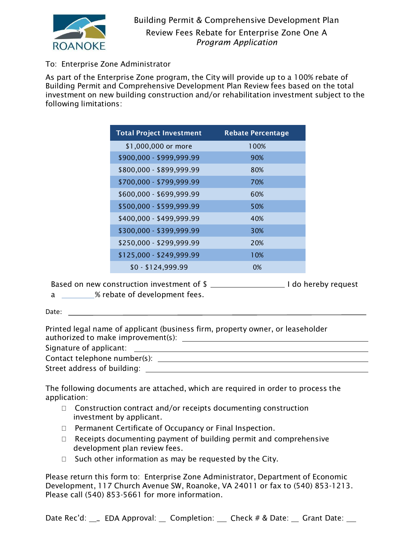

# To: Enterprise Zone Administrator

As part of the Enterprise Zone program, the City will provide up to a 100% rebate of Building Permit and Comprehensive Development Plan Review fees based on the total investment on new building construction and/or rehabilitation investment subject to the following limitations:

| <b>Total Project Investment</b> | <b>Rebate Percentage</b> |
|---------------------------------|--------------------------|
| \$1,000,000 or more             | 100%                     |
| \$900,000 - \$999,999.99        | 90%                      |
| \$800,000 - \$899,999.99        | 80%                      |
| \$700,000 - \$799,999.99        | 70%                      |
| \$600,000 - \$699,999.99        | 60%                      |
| \$500,000 - \$599,999.99        | 50%                      |
| \$400,000 - \$499,999.99        | 40%                      |
| \$300,000 - \$399,999.99        | 30%                      |
| \$250,000 - \$299,999.99        | 20%                      |
| \$125,000 - \$249,999.99        | 10%                      |
| $$0 - $124,999.99$              | 0%                       |

Based on new construction investment of \$ I do hereby request a \_\_\_\_\_\_\_\_% rebate of development fees.

Date:

Printed legal name of applicant (business firm, property owner, or leaseholder authorized to make improvement(s):

Signature of applicant:

Contact telephone number(s):

Street address of building:

The following documents are attached, which are required in order to process the application:

- $\Box$  Construction contract and/or receipts documenting construction investment by applicant.
- □ Permanent Certificate of Occupancy or Final Inspection.
- $\Box$  Receipts documenting payment of building permit and comprehensive development plan review fees.
- $\Box$  Such other information as may be requested by the City.

Please return this form to: Enterprise Zone Administrator, Department of Economic Development, 117 Church Avenue SW, Roanoke, VA 24011 or fax to (540) 853-1213. Please call (540) 853-5661 for more information.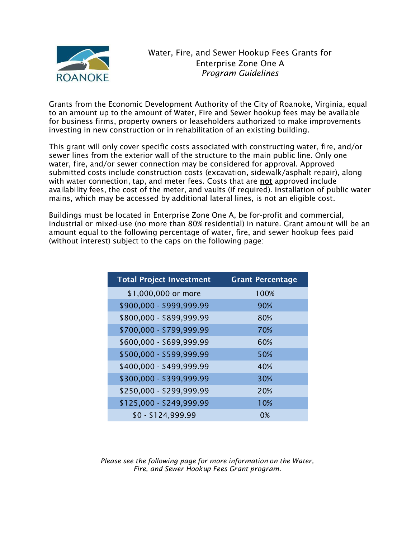

Grants from the Economic Development Authority of the City of Roanoke, Virginia, equal to an amount up to the amount of Water, Fire and Sewer hookup fees may be available for business firms, property owners or leaseholders authorized to make improvements investing in new construction or in rehabilitation of an existing building.

This grant will only cover specific costs associated with constructing water, fire, and/or sewer lines from the exterior wall of the structure to the main public line. Only one water, fire, and/or sewer connection may be considered for approval. Approved submitted costs include construction costs (excavation, sidewalk/asphalt repair), along with water connection, tap, and meter fees. Costs that are **not** approved include availability fees, the cost of the meter, and vaults (if required). Installation of public water mains, which may be accessed by additional lateral lines, is not an eligible cost.

Buildings must be located in Enterprise Zone One A, be for-profit and commercial, industrial or mixed-use (no more than 80% residential) in nature. Grant amount will be an amount equal to the following percentage of water, fire, and sewer hookup fees paid (without interest) subject to the caps on the following page:

| <b>Total Project Investment</b> | <b>Grant Percentage</b> |
|---------------------------------|-------------------------|
| \$1,000,000 or more             | 100%                    |
| \$900,000 - \$999,999.99        | 90%                     |
| \$800,000 - \$899,999.99        | 80%                     |
| \$700,000 - \$799,999.99        | 70%                     |
| \$600,000 - \$699,999.99        | 60%                     |
| \$500,000 - \$599,999.99        | 50%                     |
| \$400,000 - \$499,999.99        | 40%                     |
| \$300,000 - \$399,999.99        | 30%                     |
| \$250,000 - \$299,999.99        | 20%                     |
| \$125,000 - \$249,999.99        | 10%                     |
| $$0 - $124,999.99$              | 0%                      |

Please see the following page for more information on the Water, Fire, and Sewer Hookup Fees Grant program.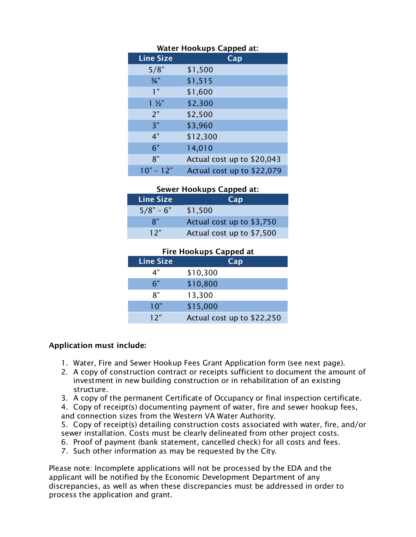| <b>Water Hookups Capped at:</b> |                            |
|---------------------------------|----------------------------|
| <b>Line Size</b>                | Cap                        |
| 5/8"                            | \$1,500                    |
| $\frac{3}{4}$ "                 | \$1,515                    |
| 1 <sup>n</sup>                  | \$1,600                    |
| $1 \frac{1}{2}$                 | \$2,300                    |
| 2"                              | \$2,500                    |
| 3"                              | \$3,960                    |
| 4"                              | \$12,300                   |
| 6"                              | 14,010                     |
| 8"                              | Actual cost up to \$20,043 |
| $10" - 12"$                     | Actual cost up to \$22,079 |

#### Sewer Hookups Capped at:

| <b>Line Size</b> | Cap                       |
|------------------|---------------------------|
| $5/8" - 6"$      | \$1,500                   |
| $\mathsf{R}^v$   | Actual cost up to \$3,750 |
| 12"              | Actual cost up to \$7,500 |

# Fire Hookups Capped at

| <b>Line Size</b> | Cap                        |
|------------------|----------------------------|
| 4"               | \$10,300                   |
| 6"               | \$10,800                   |
| ጸ"               | 13,300                     |
| 10"              | \$15,000                   |
| 12"              | Actual cost up to \$22,250 |

# Application must include:

- 1. Water, Fire and Sewer Hookup Fees Grant Application form (see next page).
- 2. A copy of construction contract or receipts sufficient to document the amount of investment in new building construction or in rehabilitation of an existing structure.
- 3. A copy of the permanent Certificate of Occupancy or final inspection certificate.
- 4. Copy of receipt(s) documenting payment of water, fire and sewer hookup fees, and connection sizes from the Western VA Water Authority.

5. Copy of receipt(s) detailing construction costs associated with water, fire, and/or sewer installation. Costs must be clearly delineated from other project costs.

- 6. Proof of payment (bank statement, cancelled check) for all costs and fees.
- 7. Such other information as may be requested by the City.

Please note: Incomplete applications will not be processed by the EDA and the applicant will be notified by the Economic Development Department of any discrepancies, as well as when these discrepancies must be addressed in order to process the application and grant.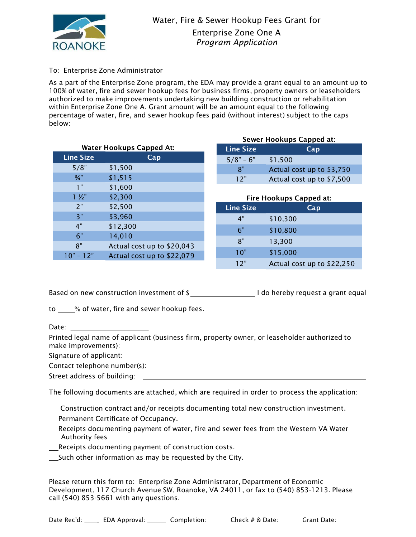

#### To: Enterprise Zone Administrator

As a part of the Enterprise Zone program, the EDA may provide a grant equal to an amount up to 100% of water, fire and sewer hookup fees for business firms, property owners or leaseholders authorized to make improvements undertaking new building construction or rehabilitation within Enterprise Zone One A. Grant amount will be an amount equal to the following percentage of water, fire, and sewer hookup fees paid (without interest) subject to the caps below:

| <b>Water Hookups Capped At:</b> |                  | <b>Line Size</b>           |                  | Cap                     |     |
|---------------------------------|------------------|----------------------------|------------------|-------------------------|-----|
|                                 | <b>Line Size</b> | Cap                        | $5/8" - 6"$      | \$1,500                 |     |
|                                 | 5/8"             | \$1,500                    | 8"               | Actual cost up to \$3   |     |
|                                 | $\frac{3}{4}$ "  | \$1,515                    | 12"              | Actual cost up to \$7   |     |
|                                 | 1"               | \$1,600                    |                  |                         |     |
|                                 | $1\frac{1}{2}$   | \$2,300                    |                  | Fire Hookups Capped at: |     |
|                                 | 2"               | \$2,500                    | <b>Line Size</b> |                         | Cap |
|                                 | 3"               | \$3,960                    | 4"               | \$10,300                |     |
|                                 | 4"               | \$12,300                   | 6"               | \$10,800                |     |
|                                 | 6"               | 14,010                     | 8"               |                         |     |
|                                 | 8"               | Actual cost up to \$20,043 |                  | 13,300                  |     |
|                                 | $10" - 12"$      | Actual cost up to \$22,079 | 10"              | \$15,000                |     |
|                                 |                  |                            |                  |                         |     |

| Sewer Hookups Capped at: |                           |  |
|--------------------------|---------------------------|--|
| <b>Line Size</b>         | Cap                       |  |
| $5/8" - 6"$              | \$1,500                   |  |
| י א                      | Actual cost up to \$3,750 |  |
| 12"                      | Actual cost up to \$7,500 |  |

# 4" \$10,300 6" \$10,800 8" 13,300 10" \$15,000 12" Actual cost up to \$22,250

Based on new construction investment of \$ I do hereby request a grant equal

to % of water, fire and sewer hookup fees.

Date:

Printed legal name of applicant (business firm, property owner, or leaseholder authorized to make improvements):

Signature of applicant:

Contact telephone number(s):

Street address of building:

The following documents are attached, which are required in order to process the application:

Construction contract and/or receipts documenting total new construction investment.

**Permanent Certificate of Occupancy.** 

- Receipts documenting payment of water, fire and sewer fees from the Western VA Water Authority fees
- Receipts documenting payment of construction costs.

Such other information as may be requested by the City.

Please return this form to: Enterprise Zone Administrator, Department of Economic Development, 117 Church Avenue SW, Roanoke, VA 24011, or fax to (540) 853-1213. Please call (540) 853-5661 with any questions.

Date Rec'd: \_\_\_\_\_ EDA Approval: \_\_\_\_\_\_ Completion: \_\_\_\_\_\_ Check # & Date: \_\_\_\_\_ Grant Date: \_\_\_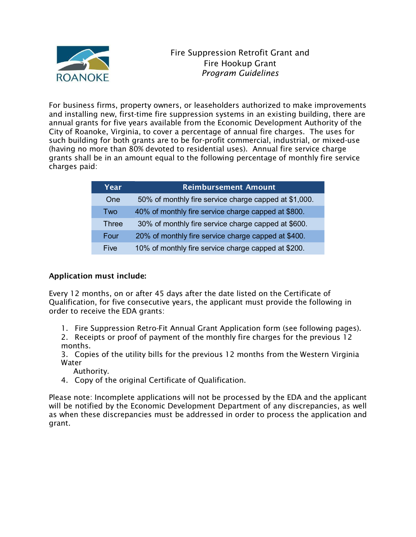

For business firms, property owners, or leaseholders authorized to make improvements and installing new, first-time fire suppression systems in an existing building, there are annual grants for five years available from the Economic Development Authority of the City of Roanoke, Virginia, to cover a percentage of annual fire charges. The uses for such building for both grants are to be for-profit commercial, industrial, or mixed-use (having no more than 80% devoted to residential uses). Annual fire service charge grants shall be in an amount equal to the following percentage of monthly fire service charges paid:

| Year         | <b>Reimbursement Amount</b>                           |
|--------------|-------------------------------------------------------|
| One          | 50% of monthly fire service charge capped at \$1,000. |
| Two          | 40% of monthly fire service charge capped at \$800.   |
| <b>Three</b> | 30% of monthly fire service charge capped at \$600.   |
| Four         | 20% of monthly fire service charge capped at \$400.   |
| Five         | 10% of monthly fire service charge capped at \$200.   |

# Application must include:

Every 12 months, on or after 45 days after the date listed on the Certificate of Qualification, for five consecutive years, the applicant must provide the following in order to receive the EDA grants:

- 1. Fire Suppression Retro-Fit Annual Grant Application form (see following pages).
- 2. Receipts or proof of payment of the monthly fire charges for the previous 12 months.
- 3. Copies of the utility bills for the previous 12 months from the Western Virginia Water

Authority.

4. Copy of the original Certificate of Qualification.

Please note: Incomplete applications will not be processed by the EDA and the applicant will be notified by the Economic Development Department of any discrepancies, as well as when these discrepancies must be addressed in order to process the application and grant.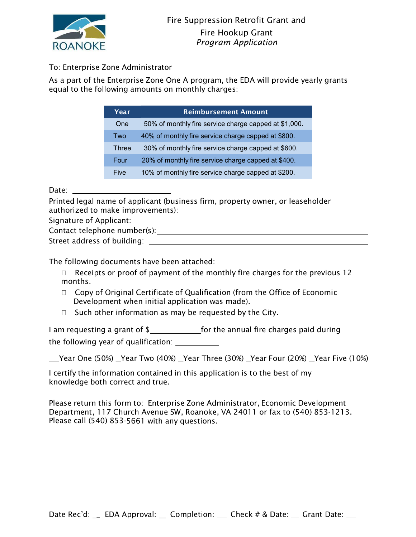

# To: Enterprise Zone Administrator

As a part of the Enterprise Zone One A program, the EDA will provide yearly grants equal to the following amounts on monthly charges:

| Year         | <b>Reimbursement Amount</b>                           |
|--------------|-------------------------------------------------------|
| One          | 50% of monthly fire service charge capped at \$1,000. |
| Two          | 40% of monthly fire service charge capped at \$800.   |
| <b>Three</b> | 30% of monthly fire service charge capped at \$600.   |
| Four         | 20% of monthly fire service charge capped at \$400.   |
| <b>Five</b>  | 10% of monthly fire service charge capped at \$200.   |

Date: when the contract of the contract of the contract of the contract of the contract of the contract of the contract of the contract of the contract of the contract of the contract of the contract of the contract of the

Printed legal name of applicant (business firm, property owner, or leaseholder authorized to make improvements): Signature of Applicant: Contact telephone number(s): Street address of building:

The following documents have been attached:

- $\Box$  Receipts or proof of payment of the monthly fire charges for the previous 12 months.
- $\Box$  Copy of Original Certificate of Qualification (from the Office of Economic Development when initial application was made).
- $\Box$  Such other information as may be requested by the City.

I am requesting a grant of \$\_\_\_\_\_\_\_\_\_\_\_\_\_\_\_\_\_\_for the annual fire charges paid during the following year of qualification:

\_\_Year One (50%) \_Year Two (40%) \_Year Three (30%) \_Year Four (20%) \_Year Five (10%)

I certify the information contained in this application is to the best of my knowledge both correct and true.

Please return this form to: Enterprise Zone Administrator, Economic Development Department, 117 Church Avenue SW, Roanoke, VA 24011 or fax to (540) 853-1213. Please call (540) 853-5661 with any questions.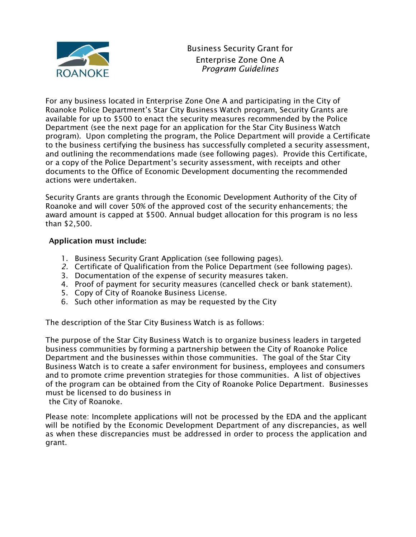

For any business located in Enterprise Zone One A and participating in the City of Roanoke Police Department's Star City Business Watch program, Security Grants are available for up to \$500 to enact the security measures recommended by the Police Department (see the next page for an application for the Star City Business Watch program). Upon completing the program, the Police Department will provide a Certificate to the business certifying the business has successfully completed a security assessment, and outlining the recommendations made (see following pages). Provide this Certificate, or a copy of the Police Department's security assessment, with receipts and other documents to the Office of Economic Development documenting the recommended actions were undertaken.

Security Grants are grants through the Economic Development Authority of the City of Roanoke and will cover 50% of the approved cost of the security enhancements; the award amount is capped at \$500. Annual budget allocation for this program is no less than \$2,500.

# Application must include:

- 1. Business Security Grant Application (see following pages).
- 2. Certificate of Qualification from the Police Department (see following pages).
- 3. Documentation of the expense of security measures taken.
- 4. Proof of payment for security measures (cancelled check or bank statement).
- 5. Copy of City of Roanoke Business License.
- 6. Such other information as may be requested by the City

The description of the Star City Business Watch is as follows:

The purpose of the Star City Business Watch is to organize business leaders in targeted business communities by forming a partnership between the City of Roanoke Police Department and the businesses within those communities. The goal of the Star City Business Watch is to create a safer environment for business, employees and consumers and to promote crime prevention strategies for those communities. A list of objectives of the program can be obtained from the City of Roanoke Police Department. Businesses must be licensed to do business in

the City of Roanoke.

Please note: Incomplete applications will not be processed by the EDA and the applicant will be notified by the Economic Development Department of any discrepancies, as well as when these discrepancies must be addressed in order to process the application and grant.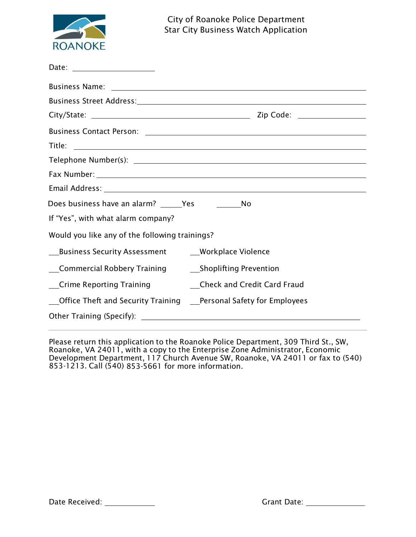

| Date: ______________________                                                              |
|-------------------------------------------------------------------------------------------|
|                                                                                           |
|                                                                                           |
|                                                                                           |
|                                                                                           |
|                                                                                           |
|                                                                                           |
|                                                                                           |
|                                                                                           |
| Does business have an alarm? ______Yes ________________No                                 |
| If "Yes", with what alarm company?                                                        |
| Would you like any of the following trainings?                                            |
| __Business Security Assessment __________Workplace Violence                               |
| Commercial Robbery Training _______________Shoplifting Prevention                         |
| __Crime Reporting Training ____________Check and Credit Card Fraud                        |
| <b>CHACK</b> Office Theft and Security Training <b>CONCACC PEACA</b> Safety for Employees |
|                                                                                           |
|                                                                                           |

Please return this application to the Roanoke Police Department, 309 Third St., SW, Roanoke, VA 24011, with a copy to the Enterprise Zone Administrator, Economic Development Department, 117 Church Avenue SW, Roanoke, VA 24011 or fax to (540) 853-1213. Call (540) 853-5661 for more information.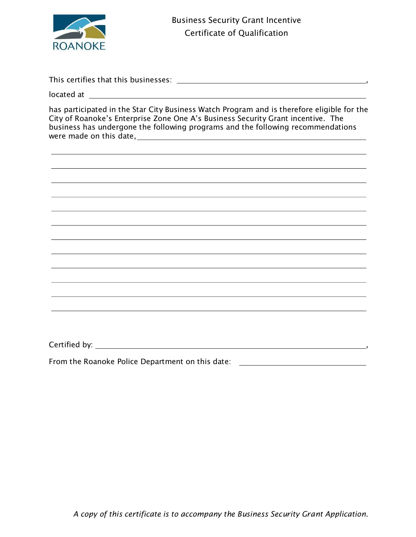

This certifies that this businesses:  $\frac{1}{1}$  =  $\frac{1}{1}$  =  $\frac{1}{1}$  =  $\frac{1}{1}$  =  $\frac{1}{1}$  =  $\frac{1}{1}$  =  $\frac{1}{1}$  =  $\frac{1}{1}$  =  $\frac{1}{1}$  =  $\frac{1}{1}$  =  $\frac{1}{1}$  =  $\frac{1}{1}$  =  $\frac{1}{1}$  =  $\frac{1}{1}$  =  $\frac{1}{1}$  =  $\frac{1$ 

located at

has participated in the Star City Business Watch Program and is therefore eligible for the City of Roanoke's Enterprise Zone One A's Business Security Grant incentive. The business has undergone the following programs and the following recommendations were made on this date,

Certified by: ,

From the Roanoke Police Department on this date: \_\_\_\_\_\_\_\_\_\_\_\_\_\_\_\_\_\_\_\_\_\_\_\_\_\_\_\_\_\_\_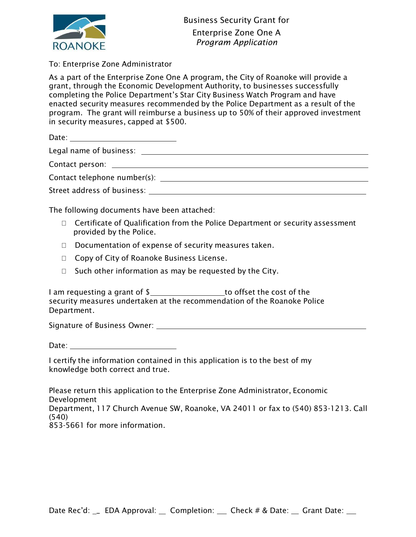

# To: Enterprise Zone Administrator

As a part of the Enterprise Zone One A program, the City of Roanoke will provide a grant, through the Economic Development Authority, to businesses successfully completing the Police Department's Star City Business Watch Program and have enacted security measures recommended by the Police Department as a result of the program. The grant will reimburse a business up to 50% of their approved investment in security measures, capped at \$500.

Date:

Legal name of business:

Contact person:

Contact telephone number(s):

Street address of business:

The following documents have been attached:

- $\Box$  Certificate of Qualification from the Police Department or security assessment provided by the Police.
- $\Box$  Documentation of expense of security measures taken.
- □ Copy of City of Roanoke Business License.
- $\Box$  Such other information as may be requested by the City.

I am requesting a grant of \$\_\_\_\_\_\_\_\_\_\_\_\_\_\_\_\_\_\_ to offset the cost of the security measures undertaken at the recommendation of the Roanoke Police Department.

Signature of Business Owner:

Date:

I certify the information contained in this application is to the best of my knowledge both correct and true.

Please return this application to the Enterprise Zone Administrator, Economic Development Department, 117 Church Avenue SW, Roanoke, VA 24011 or fax to (540) 853-1213. Call (540)

853-5661 for more information.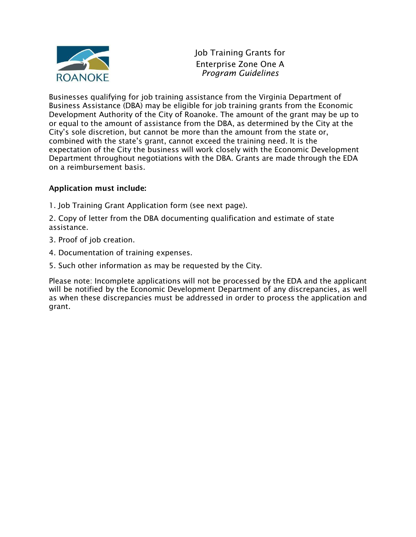

Job Training Grants for Enterprise Zone One A Program Guidelines

Businesses qualifying for job training assistance from the Virginia Department of Business Assistance (DBA) may be eligible for job training grants from the Economic Development Authority of the City of Roanoke. The amount of the grant may be up to or equal to the amount of assistance from the DBA, as determined by the City at the City's sole discretion, but cannot be more than the amount from the state or, combined with the state's grant, cannot exceed the training need. It is the expectation of the City the business will work closely with the Economic Development Department throughout negotiations with the DBA. Grants are made through the EDA on a reimbursement basis.

# Application must include:

1. Job Training Grant Application form (see next page).

2. Copy of letter from the DBA documenting qualification and estimate of state assistance.

- 3. Proof of job creation.
- 4. Documentation of training expenses.
- 5. Such other information as may be requested by the City.

Please note: Incomplete applications will not be processed by the EDA and the applicant will be notified by the Economic Development Department of any discrepancies, as well as when these discrepancies must be addressed in order to process the application and grant.